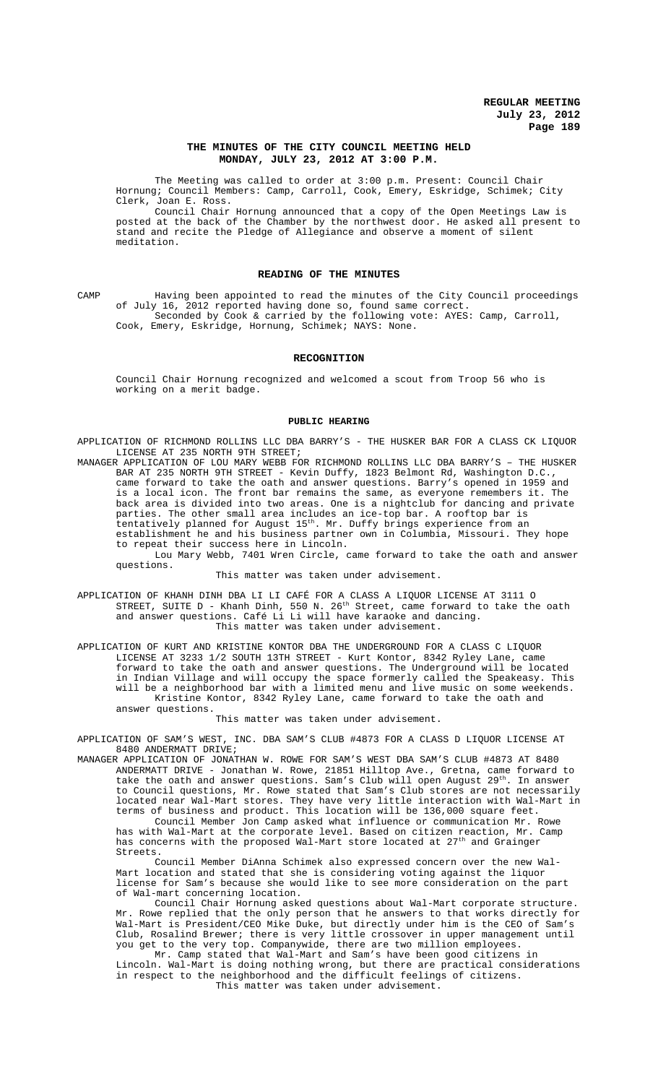### **THE MINUTES OF THE CITY COUNCIL MEETING HELD MONDAY, JULY 23, 2012 AT 3:00 P.M.**

The Meeting was called to order at 3:00 p.m. Present: Council Chair Hornung; Council Members: Camp, Carroll, Cook, Emery, Eskridge, Schimek; City Clerk, Joan E. Ross.

Council Chair Hornung announced that a copy of the Open Meetings Law is posted at the back of the Chamber by the northwest door. He asked all present to stand and recite the Pledge of Allegiance and observe a moment of silent meditation.

#### **READING OF THE MINUTES**

CAMP Having been appointed to read the minutes of the City Council proceedings of July 16, 2012 reported having done so, found same correct. Seconded by Cook & carried by the following vote: AYES: Camp, Carroll, Cook, Emery, Eskridge, Hornung, Schimek; NAYS: None.

#### **RECOGNITION**

Council Chair Hornung recognized and welcomed a scout from Troop 56 who is working on a merit badge.

#### **PUBLIC HEARING**

APPLICATION OF RICHMOND ROLLINS LLC DBA BARRY'S - THE HUSKER BAR FOR A CLASS CK LIQUOR LICENSE AT 235 NORTH 9TH STREET;

MANAGER APPLICATION OF LOU MARY WEBB FOR RICHMOND ROLLINS LLC DBA BARRY'S – THE HUSKER BAR AT 235 NORTH 9TH STREET - Kevin Duffy, 1823 Belmont Rd, Washington D.C., came forward to take the oath and answer questions. Barry's opened in 1959 and is a local icon. The front bar remains the same, as everyone remembers it. The back area is divided into two areas. One is a nightclub for dancing and private parties. The other small area includes an ice-top bar. A rooftop bar is tentatively planned for August 15th. Mr. Duffy brings experience from an establishment he and his business partner own in Columbia, Missouri. They hope to repeat their success here in Lincoln.

Lou Mary Webb, 7401 Wren Circle, came forward to take the oath and answer questions.

This matter was taken under advisement.

APPLICATION OF KHANH DINH DBA LI LI CAFÉ FOR A CLASS A LIQUOR LICENSE AT 3111 O STREET, SUITE  $D -$  Khanh Dinh, 550 N. 26<sup>th</sup> Street, came forward to take the oath and answer questions. Café Li Li will have karaoke and dancing. This matter was taken under advisement.

APPLICATION OF KURT AND KRISTINE KONTOR DBA THE UNDERGROUND FOR A CLASS C LIQUOR LICENSE AT 3233 1/2 SOUTH 13TH STREET - Kurt Kontor, 8342 Ryley Lane, came forward to take the oath and answer questions. The Underground will be located in Indian Village and will occupy the space formerly called the Speakeasy. This will be a neighborhood bar with a limited menu and live music on some weekends. Kristine Kontor, 8342 Ryley Lane, came forward to take the oath and answer questions.

This matter was taken under advisement.

INC. DBA SAM'S CLUB #4873 FOR A CLASS D LIQUOR LICENSE AT APPLICATION OF SAM'S WEST, I<br>8480 ANDERMATT DRIVE;

MANAGER APPLICATION OF JONATHAN W. ROWE FOR SAM'S WEST DBA SAM'S CLUB #4873 AT 8480 ANDERMATT DRIVE - Jonathan W. Rowe, 21851 Hilltop Ave., Gretna, came forward to take the oath and answer questions. Sam's Club will open August 29<sup>th</sup>. In answer to Council questions, Mr. Rowe stated that Sam's Club stores are not necessarily located near Wal-Mart stores. They have very little interaction with Wal-Mart in terms of business and product. This location will be 136,000 square feet.

Council Member Jon Camp asked what influence or communication Mr. Rowe has with Wal-Mart at the corporate level. Based on citizen reaction, Mr. Camp has concerns with the proposed Wal-Mart store located at 27<sup>th</sup> and Grainger Streets.

Council Member DiAnna Schimek also expressed concern over the new Wal-Mart location and stated that she is considering voting against the liquor license for Sam's because she would like to see more consideration on the part of Wal-mart concerning location.

Council Chair Hornung asked questions about Wal-Mart corporate structure. Mr. Rowe replied that the only person that he answers to that works directly for Wal-Mart is President/CEO Mike Duke, but directly under him is the CEO of Sam's Club, Rosalind Brewer; there is very little crossover in upper management until you get to the very top. Companywide, there are two million employees.

Mr. Camp stated that Wal-Mart and Sam's have been good citizens in Lincoln. Wal-Mart is doing nothing wrong, but there are practical considerations in respect to the neighborhood and the difficult feelings of citizens. This matter was taken under advisement.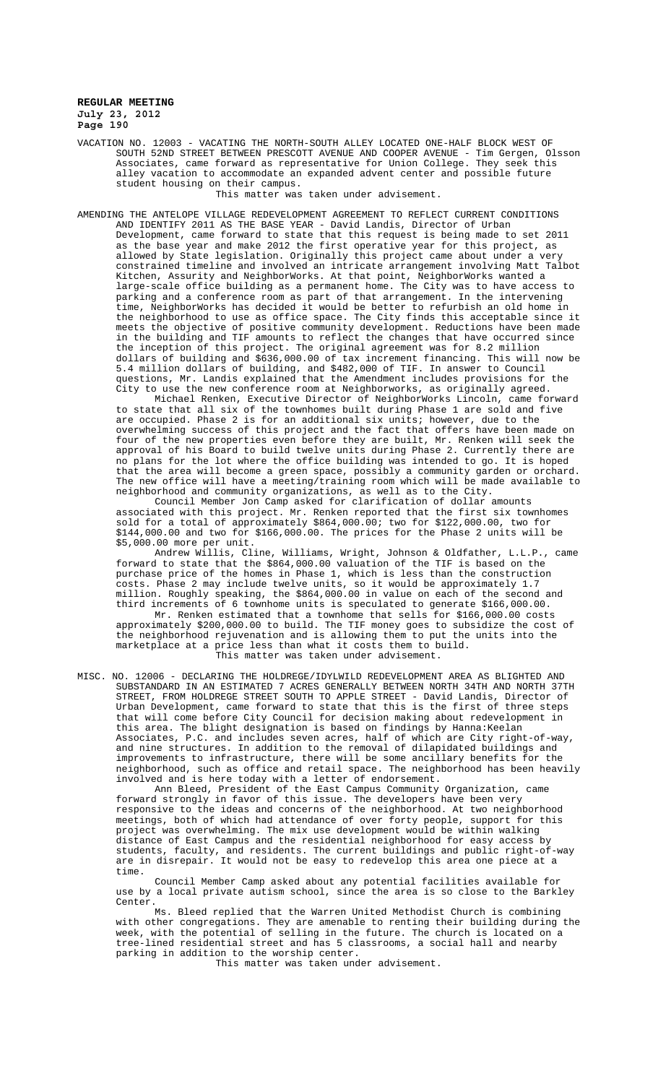VACATION NO. 12003 - VACATING THE NORTH-SOUTH ALLEY LOCATED ONE-HALF BLOCK WEST OF SOUTH 52ND STREET BETWEEN PRESCOTT AVENUE AND COOPER AVENUE - Tim Gergen, Olsson Associates, came forward as representative for Union College. They seek this alley vacation to accommodate an expanded advent center and possible future student housing on their campus.

This matter was taken under advisement.

AMENDING THE ANTELOPE VILLAGE REDEVELOPMENT AGREEMENT TO REFLECT CURRENT CONDITIONS AND IDENTIFY 2011 AS THE BASE YEAR - David Landis, Director of Urban Development, came forward to state that this request is being made to set 2011 as the base year and make 2012 the first operative year for this project, as allowed by State legislation. Originally this project came about under a very constrained timeline and involved an intricate arrangement involving Matt Talbot Kitchen, Assurity and NeighborWorks. At that point, NeighborWorks wanted a nitchen, Assuitty and Neismonsons. It will have the City was to have access to parking and a conference room as part of that arrangement. In the intervening time, NeighborWorks has decided it would be better to refurbish an old home in the neighborhood to use as office space. The City finds this acceptable since it meets the objective of positive community development. Reductions have been made in the building and TIF amounts to reflect the changes that have occurred since the inception of this project. The original agreement was for 8.2 million dollars of building and \$636,000.00 of tax increment financing. This will now be 5.4 million dollars of building, and \$482,000 of TIF. In answer to Council questions, Mr. Landis explained that the Amendment includes provisions for the City to use the new conference room at Neighborworks, as originally agreed.

Michael Renken, Executive Director of NeighborWorks Lincoln, came forward to state that all six of the townhomes built during Phase 1 are sold and five are occupied. Phase 2 is for an additional six units; however, due to the overwhelming success of this project and the fact that offers have been made on four of the new properties even before they are built, Mr. Renken will seek the approval of his Board to build twelve units during Phase 2. Currently there are no plans for the lot where the office building was intended to go. It is hoped that the area will become a green space, possibly a community garden or orchard. The new office will have a meeting/training room which will be made available to neighborhood and community organizations, as well as to the City.

Council Member Jon Camp asked for clarification of dollar amounts associated with this project. Mr. Renken reported that the first six townhomes sold for a total of approximately \$864,000.00; two for \$122,000.00, two for \$144,000.00 and two for \$166,000.00. The prices for the Phase 2 units will be \$5,000.00 more per unit.

Andrew Willis, Cline, Williams, Wright, Johnson & Oldfather, L.L.P., came forward to state that the \$864,000.00 valuation of the TIF is based on the purchase price of the homes in Phase 1, which is less than the construction costs. Phase 2 may include twelve units, so it would be approximately 1.7 million. Roughly speaking, the \$864,000.00 in value on each of the second and third increments of 6 townhome units is speculated to generate \$166,000.00.

Mr. Renken estimated that a townhome that sells for \$166,000.00 costs approximately \$200,000.00 to build. The TIF money goes to subsidize the cost of the neighborhood rejuvenation and is allowing them to put the units into the marketplace at a price less than what it costs them to build. This matter was taken under advisement.

MISC. NO. 12006 - DECLARING THE HOLDREGE/IDYLWILD REDEVELOPMENT AREA AS BLIGHTED AND SUBSTANDARD IN AN ESTIMATED 7 ACRES GENERALLY BETWEEN NORTH 34TH AND NORTH 37TH STREET, FROM HOLDREGE STREET SOUTH TO APPLE STREET - David Landis, Director of Urban Development, came forward to state that this is the first of three steps that will come before City Council for decision making about redevelopment in this area. The blight designation is based on findings by Hanna:Keelan Associates, P.C. and includes seven acres, half of which are City right-of-way, and nine structures. In addition to the removal of dilapidated buildings and improvements to infrastructure, there will be some ancillary benefits for neighborhood, such as office and retail space. The neighborhood has been heavily involved and is here today with a letter of endorsement.

Ann Bleed, President of the East Campus Community Organization, came forward strongly in favor of this issue. The developers have been very responsive to the ideas and concerns of the neighborhood. At two neighborhood meetings, both of which had attendance of over forty people, support for this project was overwhelming. The mix use development would be within walking distance of East Campus and the residential neighborhood for easy access by students, faculty, and residents. The current buildings and public right-of-way are in disrepair. It would not be easy to redevelop this area one piece at a time.

Council Member Camp asked about any potential facilities available for use by a local private autism school, since the area is so close to the Barkley Center.

Ms. Bleed replied that the Warren United Methodist Church is combining with other congregations. They are amenable to renting their building during the week, with the potential of selling in the future. The church is located on a tree-lined residential street and has 5 classrooms, a social hall and nearby parking in addition to the worship center.

This matter was taken under advisement.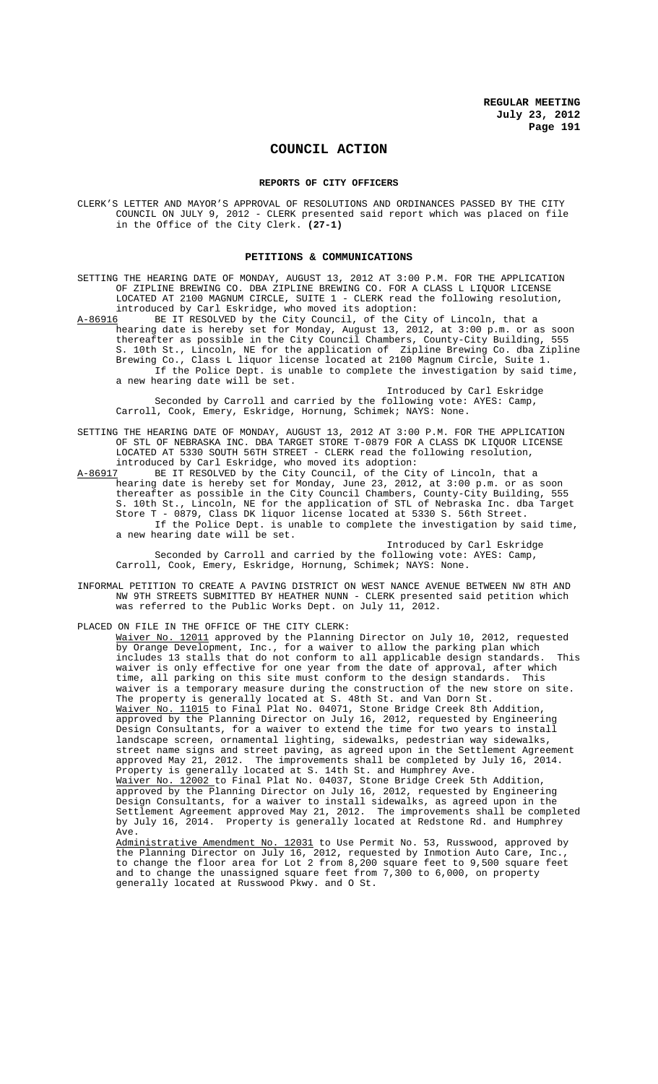## **COUNCIL ACTION**

#### **REPORTS OF CITY OFFICERS**

CLERK'S LETTER AND MAYOR'S APPROVAL OF RESOLUTIONS AND ORDINANCES PASSED BY THE CITY COUNCIL ON JULY 9, 2012 - CLERK presented said report which was placed on file in the Office of the City Clerk. **(27-1)**

## **PETITIONS & COMMUNICATIONS**

SETTING THE HEARING DATE OF MONDAY, AUGUST 13, 2012 AT 3:00 P.M. FOR THE APPLICATION OF ZIPLINE BREWING CO. DBA ZIPLINE BREWING CO. FOR A CLASS L LIQUOR LICENSE LOCATED AT 2100 MAGNUM CIRCLE, SUITE 1 - CLERK read the following resolution, introduced by Carl Eskridge, who moved its adoption:<br>A-86916 BE IT RESOLVED by the City Council, of the Cit

A-86916 BE IT RESOLVED by the City Council, of the City of Lincoln, that a hearing date is hereby set for Monday, August 13, 2012, at 3:00 p.m. or as soon thereafter as possible in the City Council Chambers, County-City Building, 555 S. 10th St., Lincoln, NE for the application of Zipline Brewing Co. dba Zipline Brewing Co., Class L liquor license located at 2100 Magnum Circle, Suite 1. Class L liquor license located at 2100 Magnum Circle, Suite If the Police Dept. is unable to complete the investigation by said time, a new hearing date will be set.

Introduced by Carl Eskridge Seconded by Carroll and carried by the following vote: AYES: Camp, Carroll, Cook, Emery, Eskridge, Hornung, Schimek; NAYS: None.

SETTING THE HEARING DATE OF MONDAY, AUGUST 13, 2012 AT 3:00 P.M. FOR THE APPLICATION OF STL OF NEBRASKA INC. DBA TARGET STORE T-0879 FOR A CLASS DK LIQUOR LICENSE LOCATED AT 5330 SOUTH 56TH STREET - CLERK read the following resolution, introduced by Carl Eskridge, who moved its adoption:

A-86917 BE IT RESOLVED by the City Council, of the City of Lincoln, that a hearing date is hereby set for Monday, June 23, 2012, at 3:00 p.m. or as soon thereafter as possible in the City Council Chambers, County-City Building, 555 S. 10th St., Lincoln, NE for the application of STL of Nebraska Inc. dba Target Store T - 0879, Class DK liquor license located at 5330 S. 56th Street. If the Police Dept. is unable to complete the investigation by said time, a new hearing date will be set.

Introduced by Carl Eskridge Seconded by Carroll and carried by the following vote: AYES: Camp, Carroll, Cook, Emery, Eskridge, Hornung, Schimek; NAYS: None.

INFORMAL PETITION TO CREATE A PAVING DISTRICT ON WEST NANCE AVENUE BETWEEN NW 8TH AND NW 9TH STREETS SUBMITTED BY HEATHER NUNN - CLERK presented said petition which was referred to the Public Works Dept. on July 11, 2012.

PLACED ON FILE IN THE OFFICE OF THE CITY CLERK: Waiver No. 12011 approved by the Planning Director on July 10, 2012, requested by Orange Development, Inc., for a waiver to allow the parking plan which includes 13 stalls that do not conform to all applicable design standards. This waiver is only effective for one year from the date of approval, after which time, all parking on this site must conform to the design standards. This waiver is a temporary measure during the construction of the new store on site. The property is generally located at S. 48th St. and Van Dorn St. Waiver No. 11015 to Final Plat No. 04071, Stone Bridge Creek 8th Addition, approved by the Planning Director on July 16, 2012, requested by Engineering Design Consultants, for a waiver to extend the time for two years to install landscape screen, ornamental lighting, sidewalks, pedestrian way sidewalks, street name signs and street paving, as agreed upon in the Settlement Agreement approved May 21, 2012. The improvements shall be completed by July 16, 2014. Property is generally located at S. 14th St. and Humphrey Ave. Waiver No. 12002 to Final Plat No. 04037, Stone Bridge Creek 5th Addition, approved by the Planning Director on July 16, 2012, requested by Engineering

Design Consultants, for a waiver to install sidewalks, as agreed upon in the Settlement Agreement approved May 21, 2012. The improvements shall be completed by July 16, 2014. Property is generally located at Redstone Rd. and Humphrey Ave.

Administrative Amendment No. 12031 to Use Permit No. 53, Russwood, approved by the Planning Director on July 16, 2012, requested by Inmotion Auto Care, Inc., to change the floor area for Lot 2 from 8,200 square feet to 9,500 square feet and to change the unassigned square feet from 7,300 to 6,000, on property generally located at Russwood Pkwy. and O St.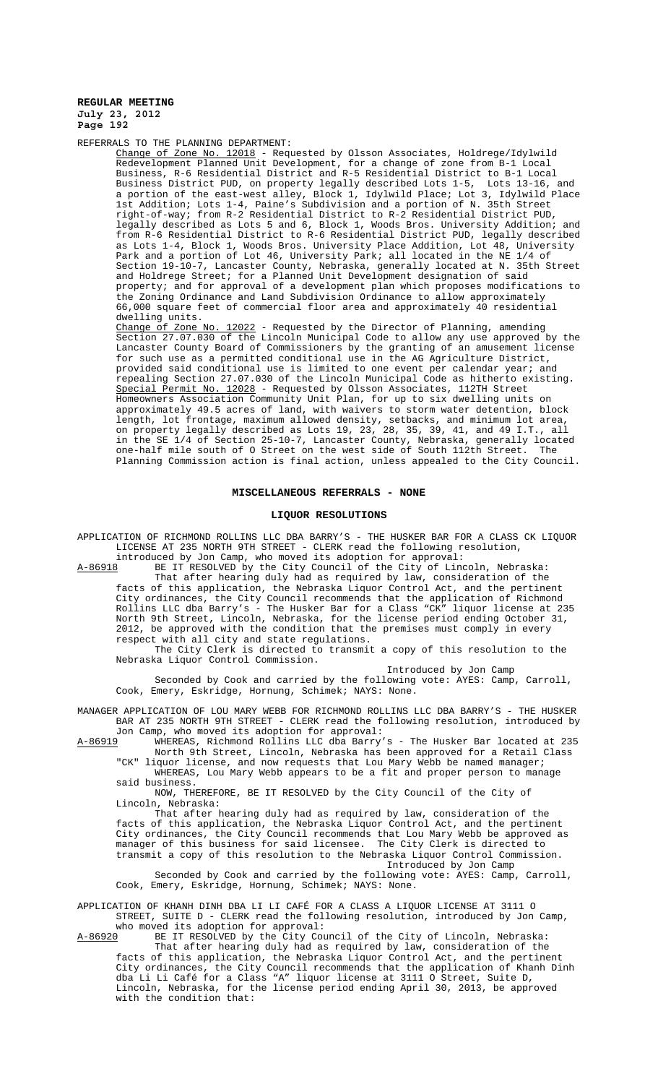REFERRALS TO THE PLANNING DEPARTMENT:

Change of Zone No. 12018 - Requested by Olsson Associates, Holdrege/Idylwild Redevelopment Planned Unit Development, for a change of zone from B-1 Local Business, R-6 Residential District and R-5 Residential District to B-1 Local<br>Business District PUD, on property legally described Lots 1-5, Lots 13-16, and Business District PUD, on property legally described Lots 1-5, Lots 13-16, and a portion of the east-west alley, Block 1, Idylwild Place; Lot 3, Idylwild Place 1st Addition; Lots 1-4, Paine's Subdivision and a portion of N. 35th Street right-of-way; from R-2 Residential District to R-2 Residential District PUD, legally described as Lots 5 and 6, Block 1, Woods Bros. University Addition; and from R-6 Residential District to R-6 Residential District PUD, legally described as Lots 1-4, Block 1, Woods Bros. University Place Addition, Lot 48, University Park and a portion of Lot 46, University Park; all located in the NE 1/4 of Section 19-10-7, Lancaster County, Nebraska, generally located at N. 35th Street and Holdrege Street; for a Planned Unit Development designation of said property; and for approval of a development plan which proposes modifications to the Zoning Ordinance and Land Subdivision Ordinance to allow approximately 66,000 square feet of commercial floor area and approximately 40 residential dwelling units.

Change of Zone No. 12022 - Requested by the Director of Planning, amending Section 27.07.030 of the Lincoln Municipal Code to allow any use approved by the Lancaster County Board of Commissioners by the granting of an amusement license for such use as a permitted conditional use in the AG Agriculture District, provided said conditional use is limited to one event per calendar year; and repealing Section 27.07.030 of the Lincoln Municipal Code as hitherto existing. Special Permit No. 12028 - Requested by Olsson Associates, 112TH Street Homeowners Association Community Unit Plan, for up to six dwelling units on approximately 49.5 acres of land, with waivers to storm water detention, block length, lot frontage, maximum allowed density, setbacks, and minimum lot area, on property legally described as Lots 19, 23, 28, 35, 39, 41, and 49 I.T., all in the SE 1/4 of Section 25-10-7, Lancaster County, Nebraska, generally located one-half mile south of O Street on the west side of South 112th Street. The Planning Commission action is final action, unless appealed to the City Council.

#### **MISCELLANEOUS REFERRALS - NONE**

#### **LIQUOR RESOLUTIONS**

APPLICATION OF RICHMOND ROLLINS LLC DBA BARRY'S - THE HUSKER BAR FOR A CLASS CK LIQUOR LICENSE AT 235 NORTH 9TH STREET - CLERK read the following resolution, introduced by Jon Camp, who moved its adoption for approval:

A-86918 BE IT RESOLVED by the City Council of the City of Lincoln, Nebraska: That after hearing duly had as required by law, consideration of the facts of this application, the Nebraska Liquor Control Act, and the pertinent City ordinances, the City Council recommends that the application of Richmond Rollins LLC dba Barry's - The Husker Bar for a Class "CK" liquor license at 235 North 9th Street, Lincoln, Nebraska, for the license period ending October 31, 2012, be approved with the condition that the premises must comply in every respect with all city and state regulations.

The City Clerk is directed to transmit a copy of this resolution to the Nebraska Liquor Control Commission.

Introduced by Jon Camp

Seconded by Cook and carried by the following vote: AYES: Camp, Carroll, Cook, Emery, Eskridge, Hornung, Schimek; NAYS: None.

MANAGER APPLICATION OF LOU MARY WEBB FOR RICHMOND ROLLINS LLC DBA BARRY'S - THE HUSKER BAR AT 235 NORTH 9TH STREET - CLERK read the following resolution, introduced by Jon Camp, who moved its adoption for approval:

A-86919 WHEREAS, Richmond Rollins LLC dba Barry's - The Husker Bar located at 235 North 9th Street, Lincoln, Nebraska has been approved for a Retail Class

"CK" liquor license, and now requests that Lou Mary Webb be named manager; WHEREAS, Lou Mary Webb appears to be a fit and proper person to manage said business.

NOW, THEREFORE, BE IT RESOLVED by the City Council of the City of Lincoln, Nebraska:

That after hearing duly had as required by law, consideration of the facts of this application, the Nebraska Liquor Control Act, and the pertinent City ordinances, the City Council recommends that Lou Mary Webb be approved as manager of this business for said licensee. The City Clerk is directed to transmit a copy of this resolution to the Nebraska Liquor Control Commission. Introduced by Jon Camp

Seconded by Cook and carried by the following vote: AYES: Camp, Carroll, Cook, Emery, Eskridge, Hornung, Schimek; NAYS: None.

APPLICATION OF KHANH DINH DBA LI LI CAFÉ FOR A CLASS A LIQUOR LICENSE AT 3111 O STREET, SUITE D - CLERK read the following resolution, introduced by Jon Camp, who moved its adoption for approval:

with the condition that:

A-86920 BE IT RESOLVED by the City Council of the City of Lincoln, Nebraska: That after hearing duly had as required by law, consideration of the facts of this application, the Nebraska Liquor Control Act, and the pertinent City ordinances, the City Council recommends that the application of Khanh Dinh dba Li Li Café for a Class "A" liquor license at 3111 O Street, Suite D, Lincoln, Nebraska, for the license period ending April 30, 2013, be approved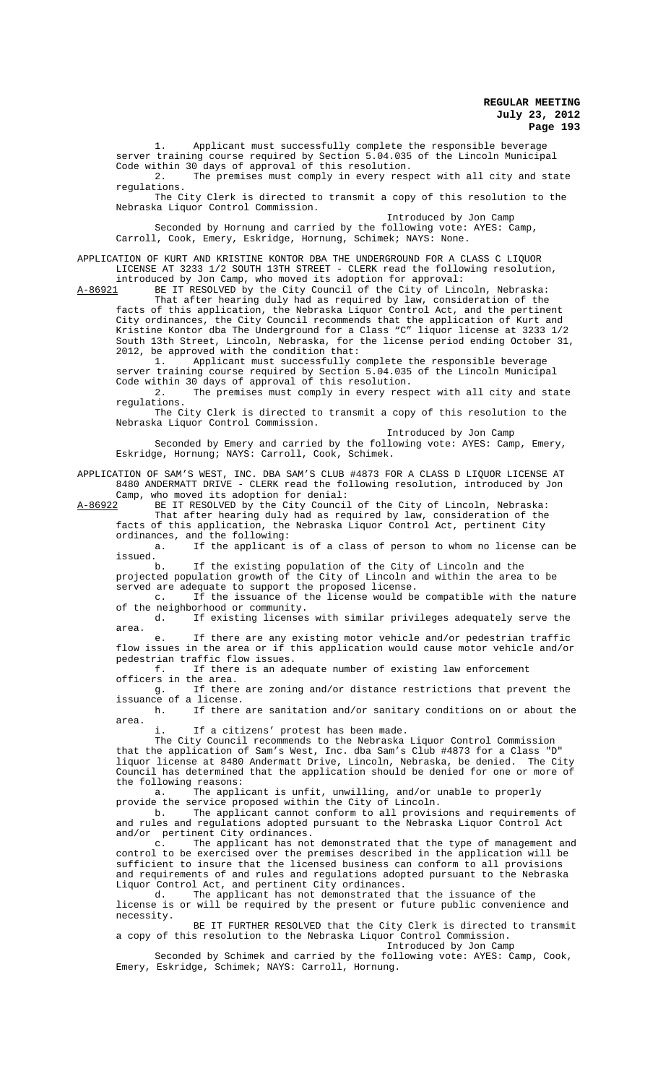1. Applicant must successfully complete the responsible beverage server training course required by Section 5.04.035 of the Lincoln Municipal Code within 30 days of approval of this resolution.

2. The premises must comply in every respect with all city and state regulations.

The City Clerk is directed to transmit a copy of this resolution to the Nebraska Liquor Control Commission.

Introduced by Jon Camp

Seconded by Hornung and carried by the following vote: AYES: Camp, Carroll, Cook, Emery, Eskridge, Hornung, Schimek; NAYS: None.

APPLICATION OF KURT AND KRISTINE KONTOR DBA THE UNDERGROUND FOR A CLASS C LIQUOR LICENSE AT 3233 1/2 SOUTH 13TH STREET - CLERK read the following resolution,

introduced by Jon Camp, who moved its adoption for approval: A-86921 BE IT RESOLVED by the City Council of the City of Lincoln, Nebraska:

That after hearing duly had as required by law, consideration of the facts of this application, the Nebraska Liquor Control Act, and the pertinent City ordinances, the City Council recommends that the application of Kurt and Kristine Kontor dba The Underground for a Class "C" liquor license at 3233 1/2 South 13th Street, Lincoln, Nebraska, for the license period ending October 31, 2012, be approved with the condition that:

1. <sup>1</sup> Applicant must successfully complete the responsible beverage server training course required by Section 5.04.035 of the Lincoln Municipal Code within 30 days of approval of this resolution.

2. The premises must comply in every respect with all city and state regulations.

The City Clerk is directed to transmit a copy of this resolution to the Nebraska Liquor Control Commission.

Introduced by Jon Camp

Seconded by Emery and carried by the following vote: AYES: Camp, Emery, Eskridge, Hornung; NAYS: Carroll, Cook, Schimek.

APPLICATION OF SAM'S WEST, INC. DBA SAM'S CLUB #4873 FOR A CLASS D LIQUOR LICENSE AT 8480 ANDERMATT DRIVE - CLERK read the following resolution, introduced by Jon Camp, who moved its adoption for denial:

A-86922 BE IT RESOLVED by the City Council of the City of Lincoln, Nebraska: That after hearing duly had as required by law, consideration of the facts of this application, the Nebraska Liquor Control Act, pertinent City ordinances, and the following:

a. If the applicant is of a class of person to whom no license can be issued.<br>h

If the existing population of the City of Lincoln and the projected population growth of the City of Lincoln and within the area to be

served are adequate to support the proposed license.<br>c. If the issuance of the license would be If the issuance of the license would be compatible with the nature of the neighborhood or community.<br>d. If existing licenses

If existing licenses with similar privileges adequately serve the area.

e. If there are any existing motor vehicle and/or pedestrian traffic flow issues in the area or if this application would cause motor vehicle and/or pedestrian traffic flow issues.<br>f. If there is an ade

If there is an adequate number of existing law enforcement officers in the area.

g. If there are zoning and/or distance restrictions that prevent the issuance of a license.<br>h If there

If there are sanitation and/or sanitary conditions on or about the area.

i. If a citizens' protest has been made.

The City Council recommends to the Nebraska Liquor Control Commission that the application of Sam's West, Inc. dba Sam's Club #4873 for a Class "D" liquor license at 8480 Andermatt Drive, Lincoln, Nebraska, be denied. The City Council has determined that the application should be denied for one or more of the following reasons:

a. The applicant is unfit, unwilling, and/or unable to properly provide the service proposed within the City of Lincoln.

b. The applicant cannot conform to all provisions and requirements of and rules and regulations adopted pursuant to the Nebraska Liquor Control Act and/or pertinent City ordinances.<br>c. The applicant has not

The applicant has not demonstrated that the type of management and control to be exercised over the premises described in the application will be sufficient to insure that the licensed business can conform to all provisions and requirements of and rules and regulations adopted pursuant to the Nebraska Liquor Control Act, and pertinent City ordinances.

d. The applicant has not demonstrated that the issuance of the license is or will be required by the present or future public convenience and necessity.

BE IT FURTHER RESOLVED that the City Clerk is directed to transmit a copy of this resolution to the Nebraska Liquor Control Commission. Introduced by Jon Camp

Seconded by Schimek and carried by the following vote: AYES: Camp, Cook, Emery, Eskridge, Schimek; NAYS: Carroll, Hornung.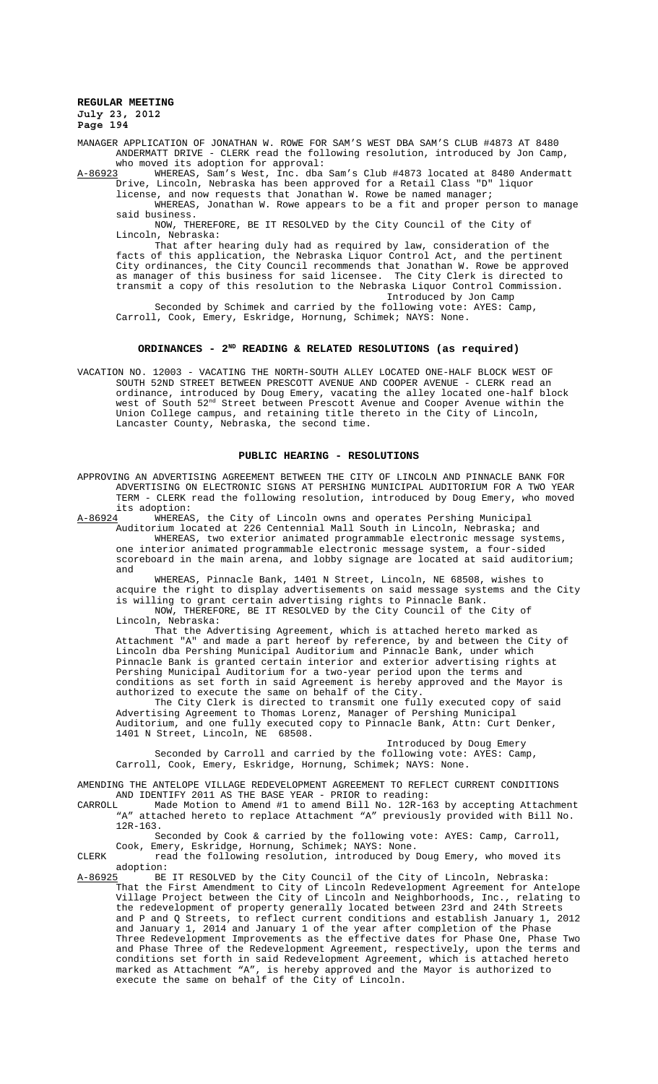MANAGER APPLICATION OF JONATHAN W. ROWE FOR SAM'S WEST DBA SAM'S CLUB #4873 AT 8480 ANDERMATT DRIVE - CLERK read the following resolution, introduced by Jon Camp, who moved its adoption for approval:

A-86923 WHEREAS, Sam's West, Inc. dba Sam's Club #4873 located at 8480 Andermatt Drive, Lincoln, Nebraska has been approved for a Retail Class "D" liquor

license, and now requests that Jonathan W. Rowe be named manager;

WHEREAS, Jonathan W. Rowe appears to be a fit and proper person to manage said business.

NOW, THEREFORE, BE IT RESOLVED by the City Council of the City of Lincoln, Nebraska:

That after hearing duly had as required by law, consideration of the facts of this application, the Nebraska Liquor Control Act, and the pertinent City ordinances, the City Council recommends that Jonathan W. Rowe be approved as manager of this business for said licensee. The City Clerk is directed to transmit a copy of this resolution to the Nebraska Liquor Control Commission. Introduced by Jon Camp

Seconded by Schimek and carried by the following vote: AYES: Camp, Carroll, Cook, Emery, Eskridge, Hornung, Schimek; NAYS: None.

# **ORDINANCES - 2ND READING & RELATED RESOLUTIONS (as required)**

VACATION NO. 12003 - VACATING THE NORTH-SOUTH ALLEY LOCATED ONE-HALF BLOCK WEST OF SOUTH 52ND STREET BETWEEN PRESCOTT AVENUE AND COOPER AVENUE - CLERK read an ordinance, introduced by Doug Emery, vacating the alley located one-half block west of South 52nd Street between Prescott Avenue and Cooper Avenue within the Union College campus, and retaining title thereto in the City of Lincoln, Lancaster County, Nebraska, the second time.

### **PUBLIC HEARING - RESOLUTIONS**

APPROVING AN ADVERTISING AGREEMENT BETWEEN THE CITY OF LINCOLN AND PINNACLE BANK FOR ADVERTISING ON ELECTRONIC SIGNS AT PERSHING MUNICIPAL AUDITORIUM FOR A TWO YEAR TERM - CLERK read the following resolution, introduced by Doug Emery, who moved

its adoption:<br><u>A-86924</u> WHEREAS .<br>WHEREAS, the City of Lincoln owns and operates Pershing Municipal Auditorium located at 226 Centennial Mall South in Lincoln, Nebraska; and

WHEREAS, two exterior animated programmable electronic message systems, one interior animated programmable electronic message system, a four-sided scoreboard in the main arena, and lobby signage are located at said auditorium; and

WHEREAS, Pinnacle Bank, 1401 N Street, Lincoln, NE 68508, wishes to acquire the right to display advertisements on said message systems and the City is willing to grant certain advertising rights to Pinnacle Bank. NOW, THEREFORE, BE IT RESOLVED by the City Council of the City of

Lincoln, Nebraska:

That the Advertising Agreement, which is attached hereto marked as Attachment "A" and made a part hereof by reference, by and between the City of Lincoln dba Pershing Municipal Auditorium and Pinnacle Bank, under which Pinnacle Bank is granted certain interior and exterior advertising rights at Pershing Municipal Auditorium for a two-year period upon the terms and conditions as set forth in said Agreement is hereby approved and the Mayor is authorized to execute the same on behalf of the City.

The City Clerk is directed to transmit one fully executed copy of said Advertising Agreement to Thomas Lorenz, Manager of Pershing Municipal Auditorium, and one fully executed copy to Pinnacle Bank, Attn: Curt Denker, 1401 N Street, Lincoln, NE 68508.

Introduced by Doug Emery Seconded by Carroll and carried by the following vote: AYES: Camp, Carroll, Cook, Emery, Eskridge, Hornung, Schimek; NAYS: None.

AMENDING THE ANTELOPE VILLAGE REDEVELOPMENT AGREEMENT TO REFLECT CURRENT CONDITIONS AND IDENTIFY 2011 AS THE BASE YEAR - PRIOR to reading:<br>CARROLL Made Motion to Amend #1 to amend Bill No. 12R-10

Made Motion to Amend #1 to amend Bill No. 12R-163 by accepting Attachment "A" attached hereto to replace Attachment "A" previously provided with Bill No. 12R-163.

Seconded by Cook & carried by the following vote: AYES: Camp, Carroll,

Cook, Emery, Eskridge, Hornung, Schimek; NAYS: None. CLERK read the following resolution, introduced by Doug Emery, who moved its

adoption:<br><u>A-86925</u> BE BE IT RESOLVED by the City Council of the City of Lincoln, Nebraska: That the First Amendment to City of Lincoln Redevelopment Agreement for Antelope Village Project between the City of Lincoln and Neighborhoods, Inc., relating to the redevelopment of property generally located between 23rd and 24th Streets and P and Q Streets, to reflect current conditions and establish January 1, 2012 and January 1, 2014 and January 1 of the year after completion of the Phase Three Redevelopment Improvements as the effective dates for Phase One, Phase Two and Phase Three of the Redevelopment Agreement, respectively, upon the terms and conditions set forth in said Redevelopment Agreement, which is attached hereto marked as Attachment "A", is hereby approved and the Mayor is authorized to execute the same on behalf of the City of Lincoln.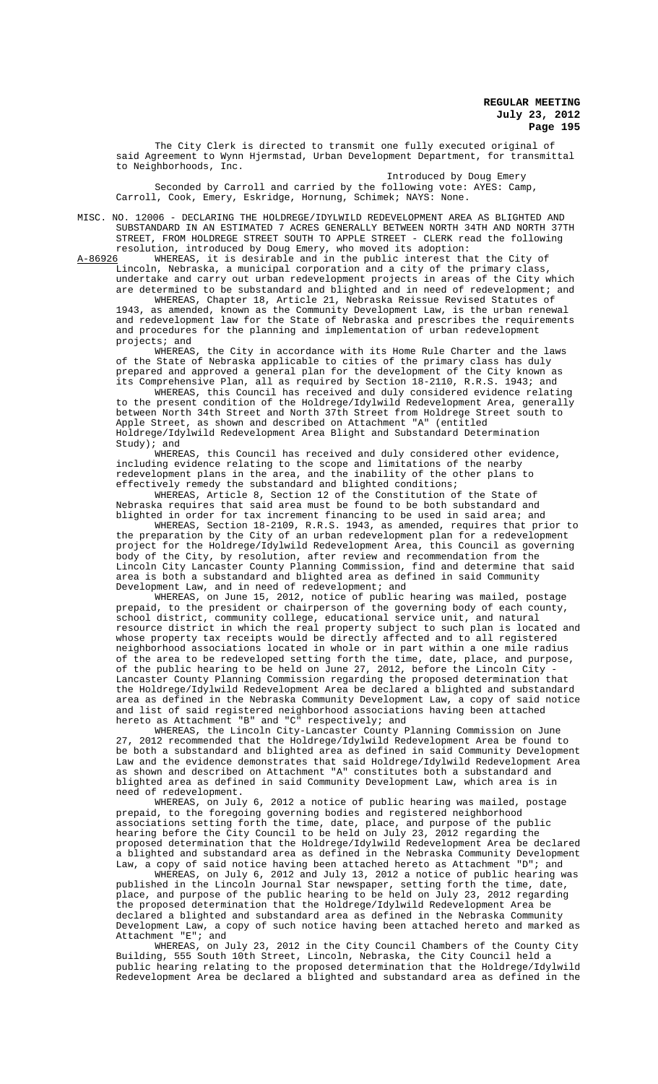The City Clerk is directed to transmit one fully executed original of said Agreement to Wynn Hjermstad, Urban Development Department, for transmittal to Neighborhoods, Inc.

Introduced by Doug Emery Seconded by Carroll and carried by the following vote: AYES: Camp, Carroll, Cook, Emery, Eskridge, Hornung, Schimek; NAYS: None.

MISC. NO. 12006 - DECLARING THE HOLDREGE/IDYLWILD REDEVELOPMENT AREA AS BLIGHTED AND SUBSTANDARD IN AN ESTIMATED 7 ACRES GENERALLY BETWEEN NORTH 34TH AND NORTH 37TH STREET, FROM HOLDREGE STREET SOUTH TO APPLE STREET - CLERK read the following resolution, introduced by Doug Emery, who moved its adoption:<br>A-86926 WHEREAS, it is desirable and in the public interest that

WHEREAS, it is desirable and in the public interest that the City of Lincoln, Nebraska, a municipal corporation and a city of the primary class, undertake and carry out urban redevelopment projects in areas of the City which are determined to be substandard and blighted and in need of redevelopment; and

WHEREAS, Chapter 18, Article 21, Nebraska Reissue Revised Statutes of 1943, as amended, known as the Community Development Law, is the urban renewal and redevelopment law for the State of Nebraska and prescribes the requirements and procedures for the planning and implementation of urban redevelopment projects; and

WHEREAS, the City in accordance with its Home Rule Charter and the laws of the State of Nebraska applicable to cities of the primary class has duly prepared and approved a general plan for the development of the City known as its Comprehensive Plan, all as required by Section 18-2110, R.R.S. 1943; and

WHEREAS, this Council has received and duly considered evidence relating to the present condition of the Holdrege/Idylwild Redevelopment Area, generally between North 34th Street and North 37th Street from Holdrege Street south to Apple Street, as shown and described on Attachment "A" (entitled Holdrege/Idylwild Redevelopment Area Blight and Substandard Determination Study); and

WHEREAS, this Council has received and duly considered other evidence, including evidence relating to the scope and limitations of the nearby redevelopment plans in the area, and the inability of the other plans to effectively remedy the substandard and blighted conditions;

WHEREAS, Article 8, Section 12 of the Constitution of the State of Nebraska requires that said area must be found to be both substandard and blighted in order for tax increment financing to be used in said area; and

WHEREAS, Section 18-2109, R.R.S. 1943, as amended, requires that prior to the preparation by the City of an urban redevelopment plan for a redevelopment project for the Holdrege/Idylwild Redevelopment Area, this Council as governing body of the City, by resolution, after review and recommendation from the Lincoln City Lancaster County Planning Commission, find and determine that said area is both a substandard and blighted area as defined in said Community Development Law, and in need of redevelopment; and

WHEREAS, on June 15, 2012, notice of public hearing was mailed, postage prepaid, to the president or chairperson of the governing body of each county, school district, community college, educational service unit, and natural resource district in which the real property subject to such plan is located and whose property tax receipts would be directly affected and to all registered neighborhood associations located in whole or in part within a one mile radius of the area to be redeveloped setting forth the time, date, place, and purpose, of the public hearing to be held on June 27, 2012, before the Lincoln City - Lancaster County Planning Commission regarding the proposed determination that the Holdrege/Idylwild Redevelopment Area be declared a blighted and substandard area as defined in the Nebraska Community Development Law, a copy of said notice and list of said registered neighborhood associations having been attached hereto as Attachment "B" and "C" respectively; and

WHEREAS, the Lincoln City-Lancaster County Planning Commission on June 27, 2012 recommended that the Holdrege/Idylwild Redevelopment Area be found to be both a substandard and blighted area as defined in said Community Development Law and the evidence demonstrates that said Holdrege/Idylwild Redevelopment Area as shown and described on Attachment "A" constitutes both a substandard and blighted area as defined in said Community Development Law, which area is in need of redevelopment.

WHEREAS, on July 6, 2012 a notice of public hearing was mailed, postage prepaid, to the foregoing governing bodies and registered neighborhood associations setting forth the time, date, place, and purpose of the public hearing before the City Council to be held on July 23, 2012 regarding the proposed determination that the Holdrege/Idylwild Redevelopment Area be declared a blighted and substandard area as defined in the Nebraska Community Development Law, a copy of said notice having been attached hereto as Attachment "D"; and

WHEREAS, on July 6, 2012 and July 13, 2012 a notice of public hearing was published in the Lincoln Journal Star newspaper, setting forth the time, date, place, and purpose of the public hearing to be held on July 23, 2012 regarding the proposed determination that the Holdrege/Idylwild Redevelopment Area be declared a blighted and substandard area as defined in the Nebraska Community Development Law, a copy of such notice having been attached hereto and marked as Attachment "E"; and

WHEREAS, on July 23, 2012 in the City Council Chambers of the County City Building, 555 South 10th Street, Lincoln, Nebraska, the City Council held a public hearing relating to the proposed determination that the Holdrege/Idylwild Redevelopment Area be declared a blighted and substandard area as defined in the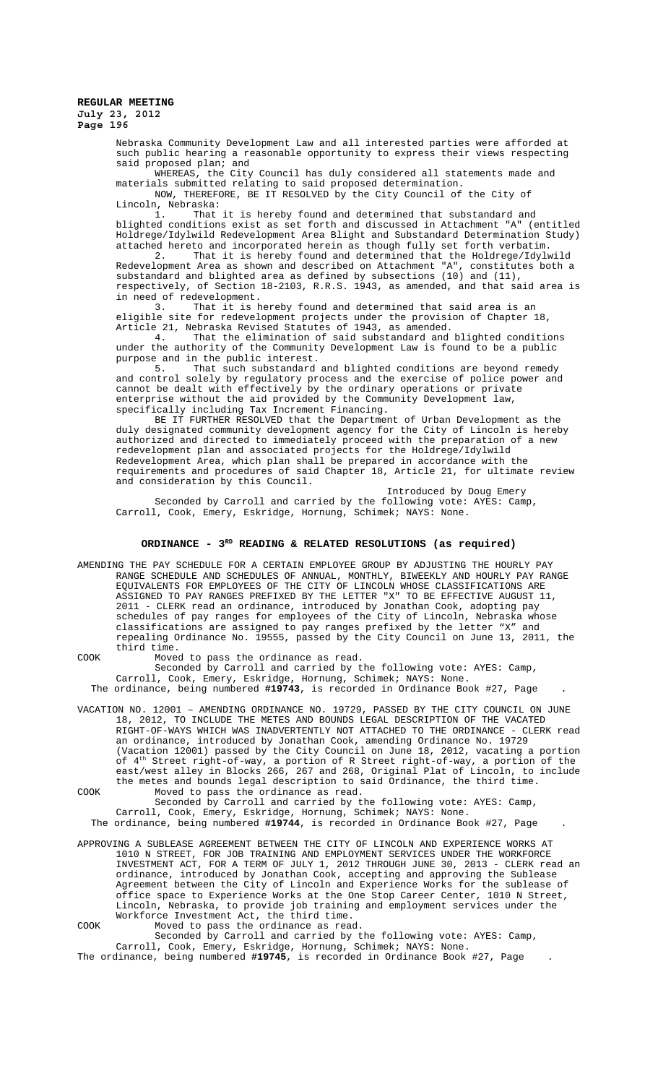> Nebraska Community Development Law and all interested parties were afforded at such public hearing a reasonable opportunity to express their views respecting said proposed plan; and

WHEREAS, the City Council has duly considered all statements made and materials submitted relating to said proposed determination.

NOW, THEREFORE, BE IT RESOLVED by the City Council of the City of Lincoln, Nebraska:

1. That it is hereby found and determined that substandard and blighted conditions exist as set forth and discussed in Attachment "A" (entitled Holdrege/Idylwild Redevelopment Area Blight and Substandard Determination Study) attached hereto and incorporated herein as though fully set forth verbatim.<br>2. That it is hereby found and determined that the Holdrege/Idvlw

That it is hereby found and determined that the Holdrege/Idylwild Redevelopment Area as shown and described on Attachment "A", constitutes both a substandard and blighted area as defined by subsections (10) and (11), respectively, of Section 18-2103, R.R.S. 1943, as amended, and that said area is in need of redevelopment.<br>3. That it is l

That it is hereby found and determined that said area is an eligible site for redevelopment projects under the provision of Chapter 18, Article 21, Nebraska Revised Statutes of 1943, as amended.

4. That the elimination of said substandard and blighted conditions under the authority of the Community Development Law is found to be a public purpose and in the public interest.<br>5. That such substandard

That such substandard and blighted conditions are beyond remedy and control solely by regulatory process and the exercise of police power and cannot be dealt with effectively by the ordinary operations or private enterprise without the aid provided by the Community Development law, specifically including Tax Increment Financing.

BE IT FURTHER RESOLVED that the Department of Urban Development as the duly designated community development agency for the City of Lincoln is hereby authorized and directed to immediately proceed with the preparation of a new redevelopment plan and associated projects for the Holdrege/Idylwild Redevelopment Area, which plan shall be prepared in accordance with the requirements and procedures of said Chapter 18, Article 21, for ultimate review and consideration by this Council.

Introduced by Doug Emery Seconded by Carroll and carried by the following vote: AYES: Camp, Carroll, Cook, Emery, Eskridge, Hornung, Schimek; NAYS: None.

# ORDINANCE -  $3^{RD}$  READING & RELATED RESOLUTIONS (as required)

AMENDING THE PAY SCHEDULE FOR A CERTAIN EMPLOYEE GROUP BY ADJUSTING THE HOURLY PAY RANGE SCHEDULE AND SCHEDULES OF ANNUAL, MONTHLY, BIWEEKLY AND HOURLY PAY RANGE EQUIVALENTS FOR EMPLOYEES OF THE CITY OF LINCOLN WHOSE CLASSIFICATIONS ARE ASSIGNED TO PAY RANGES PREFIXED BY THE LETTER "X" TO BE EFFECTIVE AUGUST 11, 2011 - CLERK read an ordinance, introduced by Jonathan Cook, adopting pay schedules of pay ranges for employees of the City of Lincoln, Nebraska whose classifications are assigned to pay ranges prefixed by the letter "X" and repealing Ordinance No. 19555, passed by the City Council on June 13, 2011, the third time.

COOK Moved to pass the ordinance as read.

Seconded by Carroll and carried by the following vote: AYES: Camp, Carroll, Cook, Emery, Eskridge, Hornung, Schimek; NAYS: None. The ordinance, being numbered **#19743**, is recorded in Ordinance Book #27, Page .

- VACATION NO. 12001 AMENDING ORDINANCE NO. 19729, PASSED BY THE CITY COUNCIL ON JUNE 18, 2012, TO INCLUDE THE METES AND BOUNDS LEGAL DESCRIPTION OF THE VACATED RIGHT-OF-WAYS WHICH WAS INADVERTENTLY NOT ATTACHED TO THE ORDINANCE - CLERK read an ordinance, introduced by Jonathan Cook, amending Ordinance No. 19729 (Vacation 12001) passed by the City Council on June 18, 2012, vacating a portion of 4th Street right-of-way, a portion of R Street right-of-way, a portion of the east/west alley in Blocks 266, 267 and 268, Original Plat of Lincoln, to include the metes and bounds legal description to said Ordinance, the third time.
- COOK Moved to pass the ordinance as read. Seconded by Carroll and carried by the following vote: AYES: Camp, Carroll, Cook, Emery, Eskridge, Hornung, Schimek; NAYS: None.

The ordinance, being numbered **#19744**, is recorded in Ordinance Book #27, Page .

- APPROVING A SUBLEASE AGREEMENT BETWEEN THE CITY OF LINCOLN AND EXPERIENCE WORKS AT 1010 N STREET, FOR JOB TRAINING AND EMPLOYMENT SERVICES UNDER THE WORKFORCE INVESTMENT ACT, FOR A TERM OF JULY 1, 2012 THROUGH JUNE 30, 2013 - CLERK read an ordinance, introduced by Jonathan Cook, accepting and approving the Sublease Agreement between the City of Lincoln and Experience Works for the sublease of office space to Experience Works at the One Stop Career Center, 1010 N Street, Lincoln, Nebraska, to provide job training and employment services under the Workforce Investment Act, the third time.
- COOK Moved to pass the ordinance as read. Seconded by Carroll and carried by the following vote: AYES: Camp, Carroll, Cook, Emery, Eskridge, Hornung, Schimek; NAYS: None.

The ordinance, being numbered **#19745**, is recorded in Ordinance Book #27, Page .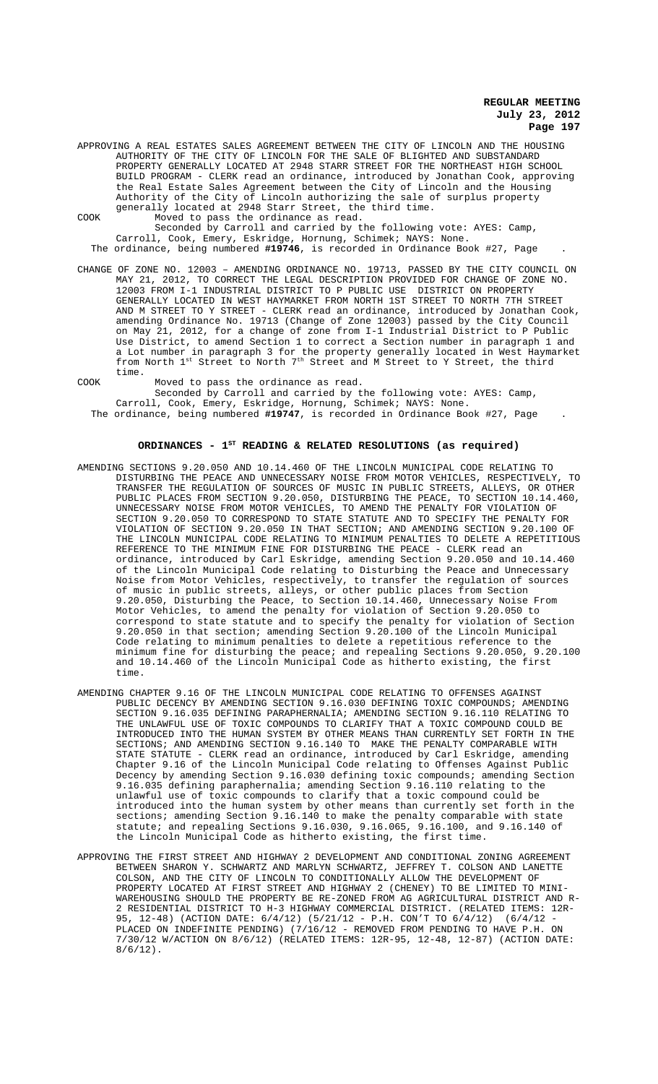APPROVING A REAL ESTATES SALES AGREEMENT BETWEEN THE CITY OF LINCOLN AND THE HOUSING AUTHORITY OF THE CITY OF LINCOLN FOR THE SALE OF BLIGHTED AND SUBSTANDARD PROPERTY GENERALLY LOCATED AT 2948 STARR STREET FOR THE NORTHEAST HIGH SCHOOL BUILD PROGRAM - CLERK read an ordinance, introduced by Jonathan Cook, approving the Real Estate Sales Agreement between the City of Lincoln and the Housing Authority of the City of Lincoln authorizing the sale of surplus property generally located at 2948 Starr Street, the third time.

COOK Moved to pass the ordinance as read. Seconded by Carroll and carried by the following vote: AYES: Camp, Carroll, Cook, Emery, Eskridge, Hornung, Schimek; NAYS: None.

The ordinance, being numbered **#19746**, is recorded in Ordinance Book #27, Page .

CHANGE OF ZONE NO. 12003 – AMENDING ORDINANCE NO. 19713, PASSED BY THE CITY COUNCIL ON MAY 21, 2012, TO CORRECT THE LEGAL DESCRIPTION PROVIDED FOR CHANGE OF ZONE NO. 12003 FROM I-1 INDUSTRIAL DISTRICT TO P PUBLIC USE DISTRICT ON PROPERTY GENERALLY LOCATED IN WEST HAYMARKET FROM NORTH 1ST STREET TO NORTH 7TH STREET AND M STREET TO Y STREET - CLERK read an ordinance, introduced by Jonathan Cook, amending Ordinance No. 19713 (Change of Zone 12003) passed by the City Council on May 21, 2012, for a change of zone from I-1 Industrial District to P Public Use District, to amend Section 1 to correct a Section number in paragraph 1 and a Lot number in paragraph 3 for the property generally located in West Haymarket from North  $1^{\text{st}}$  Street to North  $7^{\text{th}}$  Street and M Street to Y Street, the third time.

COOK Moved to pass the ordinance as read.

Seconded by Carroll and carried by the following vote: AYES: Camp,

Carroll, Cook, Emery, Eskridge, Hornung, Schimek; NAYS: None. The ordinance, being numbered **#19747**, is recorded in Ordinance Book #27, Page .

# ORDINANCES - 1<sup>st</sup> READING & RELATED RESOLUTIONS (as required)

- AMENDING SECTIONS 9.20.050 AND 10.14.460 OF THE LINCOLN MUNICIPAL CODE RELATING TO DISTURBING THE PEACE AND UNNECESSARY NOISE FROM MOTOR VEHICLES, RESPECTIVELY, TO TRANSFER THE REGULATION OF SOURCES OF MUSIC IN PUBLIC STREETS, ALLEYS, OR OTHER PUBLIC PLACES FROM SECTION 9.20.050, DISTURBING THE PEACE, TO SECTION 10.14.460, UNNECESSARY NOISE FROM MOTOR VEHICLES, TO AMEND THE PENALTY FOR VIOLATION OF SECTION 9.20.050 TO CORRESPOND TO STATE STATUTE AND TO SPECIFY THE PENALTY FOR VIOLATION OF SECTION 9.20.050 IN THAT SECTION; AND AMENDING SECTION 9.20.100 OF THE LINCOLN MUNICIPAL CODE RELATING TO MINIMUM PENALTIES TO DELETE A REPETITIOUS REFERENCE TO THE MINIMUM FINE FOR DISTURBING THE PEACE - CLERK read an ordinance, introduced by Carl Eskridge, amending Section 9.20.050 and 10.14.460 of the Lincoln Municipal Code relating to Disturbing the Peace and Unnecessary Noise from Motor Vehicles, respectively, to transfer the regulation of sources of music in public streets, alleys, or other public places from Section 9.20.050, Disturbing the Peace, to Section 10.14.460, Unnecessary Noise From Motor Vehicles, to amend the penalty for violation of Section 9.20.050 to correspond to state statute and to specify the penalty for violation of Section 9.20.050 in that section; amending Section 9.20.100 of the Lincoln Municipal Code relating to minimum penalties to delete a repetitious reference to the minimum fine for disturbing the peace; and repealing Sections 9.20.050, 9.20.100 and 10.14.460 of the Lincoln Municipal Code as hitherto existing, the first time.
- AMENDING CHAPTER 9.16 OF THE LINCOLN MUNICIPAL CODE RELATING TO OFFENSES AGAINST PUBLIC DECENCY BY AMENDING SECTION 9.16.030 DEFINING TOXIC COMPOUNDS; AMENDING SECTION 9.16.035 DEFINING PARAPHERNALIA; AMENDING SECTION 9.16.110 RELATING TO THE UNLAWFUL USE OF TOXIC COMPOUNDS TO CLARIFY THAT A TOXIC COMPOUND COULD BE INTRODUCED INTO THE HUMAN SYSTEM BY OTHER MEANS THAN CURRENTLY SET FORTH IN THE SECTIONS; AND AMENDING SECTION 9.16.140 TO MAKE THE PENALTY COMPARABLE WITH STATE STATUTE - CLERK read an ordinance, introduced by Carl Eskridge, amending Chapter 9.16 of the Lincoln Municipal Code relating to Offenses Against Public Decency by amending Section 9.16.030 defining toxic compounds; amending Section 9.16.035 defining paraphernalia; amending Section 9.16.110 relating to the unlawful use of toxic compounds to clarify that a toxic compound could be introduced into the human system by other means than currently set forth in the sections; amending Section 9.16.140 to make the penalty comparable with state statute; and repealing Sections 9.16.030, 9.16.065, 9.16.100, and 9.16.140 of the Lincoln Municipal Code as hitherto existing, the first time.
- APPROVING THE FIRST STREET AND HIGHWAY 2 DEVELOPMENT AND CONDITIONAL ZONING AGREEMENT BETWEEN SHARON Y. SCHWARTZ AND MARLYN SCHWARTZ, JEFFREY T. COLSON AND LANETTE COLSON, AND THE CITY OF LINCOLN TO CONDITIONALLY ALLOW THE DEVELOPMENT OF PROPERTY LOCATED AT FIRST STREET AND HIGHWAY 2 (CHENEY) TO BE LIMITED TO MINI-WAREHOUSING SHOULD THE PROPERTY BE RE-ZONED FROM AG AGRICULTURAL DISTRICT AND R-2 RESIDENTIAL DISTRICT TO H-3 HIGHWAY COMMERCIAL DISTRICT. (RELATED ITEMS: 12R-95, 12-48) (ACTION DATE: 6/4/12) (5/21/12 - P.H. CON'T TO 6/4/12) (6/4/12 - PLACED ON INDEFINITE PENDING) (7/16/12 - REMOVED FROM PENDING TO HAVE P.H. ON 7/30/12 W/ACTION ON 8/6/12) (RELATED ITEMS: 12R-95, 12-48, 12-87) (ACTION DATE:  $8/6/12$ ).